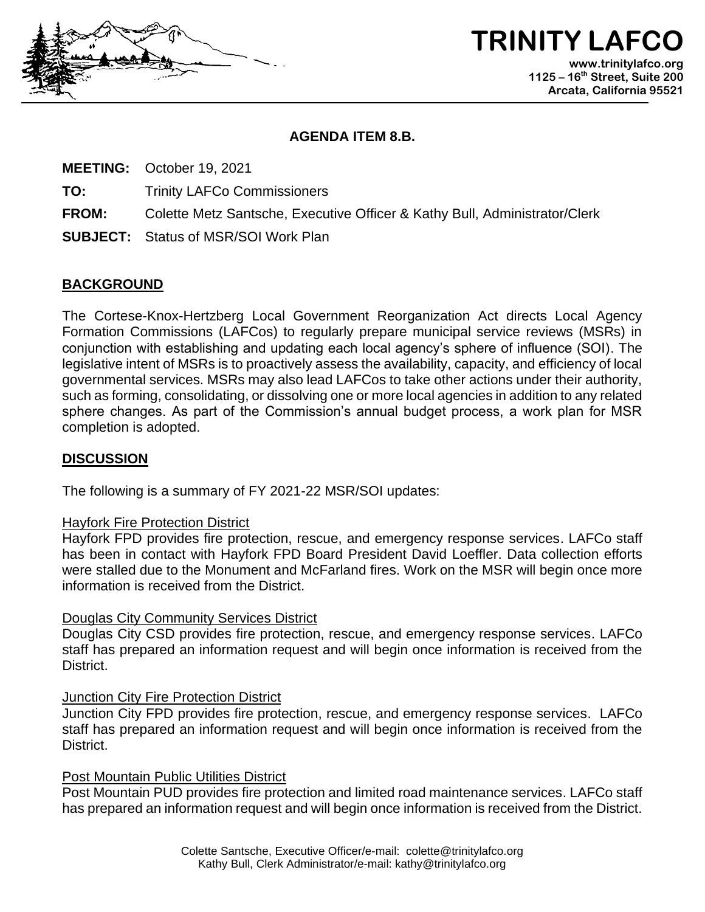

**TRINITY LAFC www.trinitylafco.org 1125 – 16th Street, Suite 200 Arcata, California 95521**

#### **AGENDA ITEM 8.B.**

**MEETING:** October 19, 2021

**TO:** Trinity LAFCo Commissioners

- **FROM:** Colette Metz Santsche, Executive Officer & Kathy Bull, Administrator/Clerk
- **SUBJECT:** Status of MSR/SOI Work Plan

# **BACKGROUND**

The Cortese-Knox-Hertzberg Local Government Reorganization Act directs Local Agency Formation Commissions (LAFCos) to regularly prepare municipal service reviews (MSRs) in conjunction with establishing and updating each local agency's sphere of influence (SOI). The legislative intent of MSRs is to proactively assess the availability, capacity, and efficiency of local governmental services. MSRs may also lead LAFCos to take other actions under their authority, such as forming, consolidating, or dissolving one or more local agencies in addition to any related sphere changes. As part of the Commission's annual budget process, a work plan for MSR completion is adopted.

## **DISCUSSION**

The following is a summary of FY 2021-22 MSR/SOI updates:

### Hayfork Fire Protection District

Hayfork FPD provides fire protection, rescue, and emergency response services. LAFCo staff has been in contact with Hayfork FPD Board President David Loeffler. Data collection efforts were stalled due to the Monument and McFarland fires. Work on the MSR will begin once more information is received from the District.

## Douglas City Community Services District

Douglas City CSD provides fire protection, rescue, and emergency response services. LAFCo staff has prepared an information request and will begin once information is received from the District.

### Junction City Fire Protection District

Junction City FPD provides fire protection, rescue, and emergency response services. LAFCo staff has prepared an information request and will begin once information is received from the District.

## Post Mountain Public Utilities District

Post Mountain PUD provides fire protection and limited road maintenance services. LAFCo staff has prepared an information request and will begin once information is received from the District.